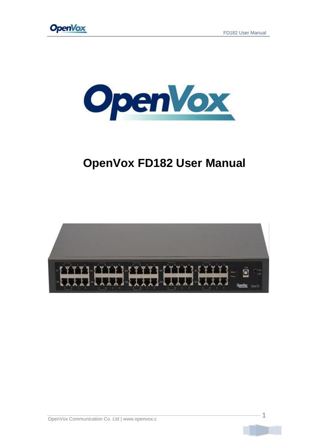



# **OpenVox FD182 User Manual**



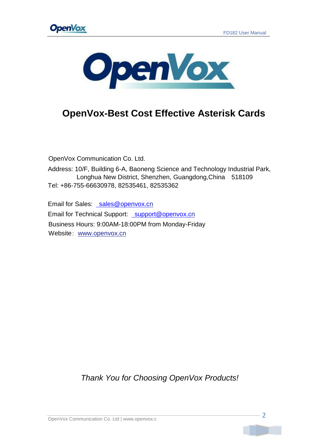



## **OpenVox-Best Cost Effective Asterisk Cards**

OpenVox Communication Co. Ltd.

Address: 10/F, Building 6-A, Baoneng Science and Technology Industrial Park, Longhua New District, Shenzhen, Guangdong,China 518109 Tel: +86-755-66630978, 82535461, 82535362

Email for Sales: [sales@openvox.cn](mailto:%20sales@openvox.c) Email for Technical Support: [support@openvox.cn](mailto:%20support@openvox.c) Business Hours: 9:00AM-18:00PM from Monday-Friday Website: [www.openvox.cn](http://www.openvox.cn/)

*Thank You for Choosing OpenVox Products!*

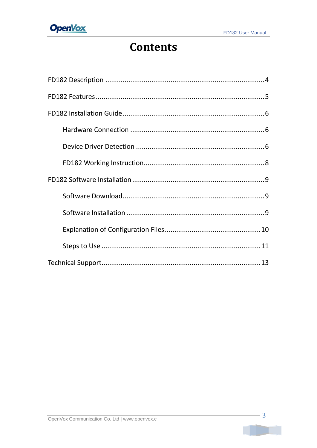

# **Contents**

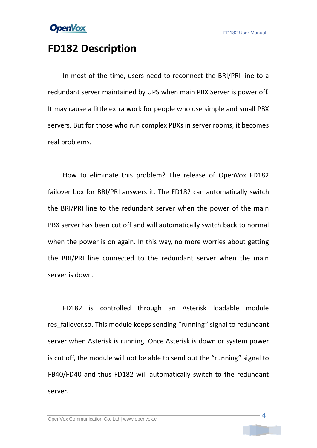## <span id="page-3-0"></span>**FD182 Description**

In most of the time, users need to reconnect the BRI/PRI line to a redundant server maintained by UPS when main PBX Server is power off. It may cause a little extra work for people who use simple and small PBX servers. But for those who run complex PBXs in server rooms, it becomes real problems.

How to eliminate this problem? The release of OpenVox FD182 failover box for BRI/PRI answers it. The FD182 can automatically switch the BRI/PRI line to the redundant server when the power of the main PBX server has been cut off and will automatically switch back to normal when the power is on again. In this way, no more worries about getting the BRI/PRI line connected to the redundant server when the main server is down.

FD182 is controlled through an Asterisk loadable module res failover.so. This module keeps sending "running" signal to redundant server when Asterisk is running. Once Asterisk is down or system power is cut off, the module will not be able to send out the "running" signal to FB40/FD40 and thus FD182 will automatically switch to the redundant server.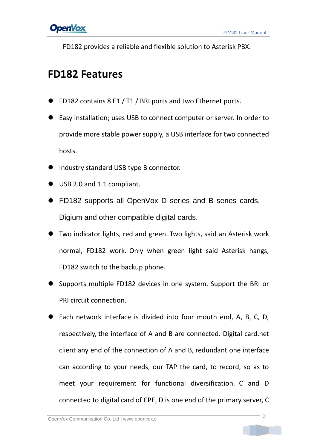

FD182 provides a reliable and flexible solution to Asterisk PBX.

## <span id="page-4-0"></span>**FD182 Features**

- **FD182 contains 8 E1 / T1 / BRI ports and two Ethernet ports.**
- Easy installation; uses USB to connect computer or server. In order to provide more stable power supply, a USB interface for two connected hosts.
- Industry standard USB type B connector.
- USB 2.0 and 1.1 compliant.
- FD182 supports all OpenVox D series and B series cards, Digium and other compatible digital cards.
- Two indicator lights, red and green. Two lights, said an Asterisk work normal, FD182 work. Only when green light said Asterisk hangs, FD182 switch to the backup phone.
- Supports multiple FD182 devices in one system. Support the BRI or PRI circuit connection.
- Each network interface is divided into four mouth end, A, B, C, D, respectively, the interface of A and B are connected. Digital card.net client any end of the connection of A and B, redundant one interface can according to your needs, our TAP the card, to record, so as to meet your requirement for functional diversification. C and D connected to digital card of CPE, D is one end of the primary server, C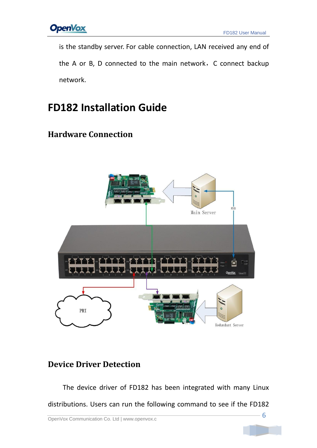

is the standby server. For cable connection, LAN received any end of the A or B, D connected to the main network, C connect backup network.

# <span id="page-5-0"></span>**FD182 Installation Guide**

### <span id="page-5-1"></span>**Hardware Connection**



### <span id="page-5-2"></span>**Device Driver Detection**

The device driver of FD182 has been integrated with many Linux distributions. Users can run the following command to see if the FD182

$$
-6
$$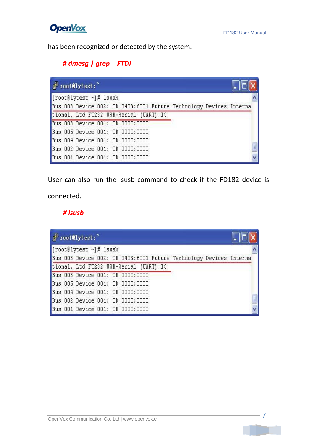

has been recognized or detected by the system.

#### **#** *dmesg | grep FTDI*

|                        | Frootelytest:"                                                     |  |  |  |  |  |  |  |  |  |
|------------------------|--------------------------------------------------------------------|--|--|--|--|--|--|--|--|--|
| [root@lytest ~]# lsusb |                                                                    |  |  |  |  |  |  |  |  |  |
|                        | Bus 003 Device 002: ID 0403:6001 Future Technology Devices Interna |  |  |  |  |  |  |  |  |  |
|                        | tional, Ltd FT232 USB-Serial (UART) IC                             |  |  |  |  |  |  |  |  |  |
|                        | Bus 003 Device 001: ID 0000:0000                                   |  |  |  |  |  |  |  |  |  |
|                        | Bus 005 Device 001: ID 0000:0000                                   |  |  |  |  |  |  |  |  |  |
|                        | Bus 004 Device 001: ID 0000:0000                                   |  |  |  |  |  |  |  |  |  |
|                        | Bus 002 Device 001: ID 0000:0000                                   |  |  |  |  |  |  |  |  |  |
|                        | Bus 001 Device 001: ID 0000:0000                                   |  |  |  |  |  |  |  |  |  |

User can also run the lsusb command to check if the FD182 device is

connected.

#### *# lsusb*

| $\mathbb{F}$ root@lytest:              |  |  |  |  |  |  |                                                                    |  |  |  |
|----------------------------------------|--|--|--|--|--|--|--------------------------------------------------------------------|--|--|--|
| [root@lytest $~\sim$ ]# lsusb          |  |  |  |  |  |  |                                                                    |  |  |  |
|                                        |  |  |  |  |  |  | Bus 003 Device 002: ID 0403:6001 Future Technology Devices Interna |  |  |  |
| tional, Ltd FT232 USB-Serial (UART) IC |  |  |  |  |  |  |                                                                    |  |  |  |
| Bus 003 Device 001: ID 0000:0000       |  |  |  |  |  |  |                                                                    |  |  |  |
| Bus 005 Device 001: ID 0000:0000       |  |  |  |  |  |  |                                                                    |  |  |  |
| Bus 004 Device 001: ID 0000:0000       |  |  |  |  |  |  |                                                                    |  |  |  |
| Bus 002 Device 001: ID 0000:0000       |  |  |  |  |  |  |                                                                    |  |  |  |
| Bus 001 Device 001: ID 0000:0000       |  |  |  |  |  |  |                                                                    |  |  |  |

OpenVox Communication Co. Ltd | www.openvox.c 7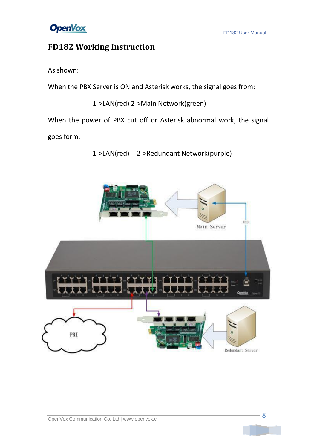### <span id="page-7-0"></span>**FD182 Working Instruction**

As shown:

When the PBX Server is ON and Asterisk works, the signal goes from:

1->LAN(red) 2->Main Network(green)

When the power of PBX cut off or Asterisk abnormal work, the signal

goes form:

1->LAN(red) 2->Redundant Network(purple)

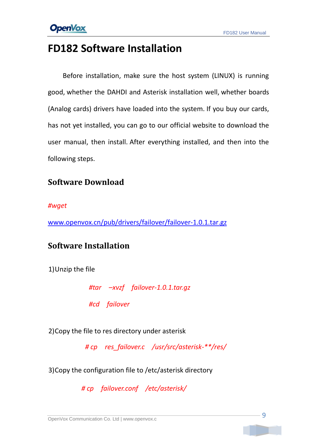## <span id="page-8-0"></span>**FD182 Software Installation**

Before installation, make sure the host system (LINUX) is running good, whether the DAHDI and Asterisk installation well, whether boards (Analog cards) drivers have loaded into the system. If you buy our cards, has not yet installed, you can go to our official website to download the user manual, then install. After everything installed, and then into the following steps.

#### <span id="page-8-1"></span>**Software Download**

#### *#wget*

[www.openvox.cn/pub/drivers/failover/failover-1.0.1.tar.gz](http://www.openvox.cn/pub/drivers/failover/failover-1.0.1.tar.gz)

#### <span id="page-8-2"></span>**Software Installation**

1)Unzip the file

*#tar –xvzf failover-1.0.1.tar.gz*

*#cd failover* 

2)Copy the file to res directory under asterisk

*# cp res\_failover.c /usr/src/asterisk-\*\*/res/*

3)Copy the configuration file to /etc/asterisk directory

*# cp failover.conf /etc/asterisk/*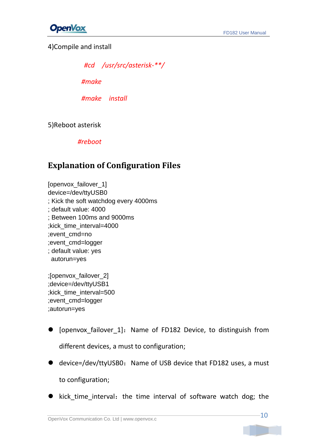

4)Compile and install

*#cd /usr/src/asterisk-\*\*/*

*#make*

*#make install*

5)Reboot asterisk

*#reboot*

### <span id="page-9-0"></span>**Explanation of Configuration Files**

[openvox\_failover\_1] device=/dev/ttyUSB0 ; Kick the soft watchdog every 4000ms ; default value: 4000 ; Between 100ms and 9000ms ;kick\_time\_interval=4000 ;event\_cmd=no ;event\_cmd=logger ; default value: yes autorun=yes

;[openvox\_failover\_2] ;device=/dev/ttyUSB1 ;kick\_time\_interval=500 ;event\_cmd=logger ;autorun=yes

- [openvox\_failover\_1]:Name of FD182 Device, to distinguish from different devices, a must to configuration;
- device=/dev/ttyUSB0: Name of USB device that FD182 uses, a must to configuration;
- kick\_time\_interval: the time interval of software watch dog; the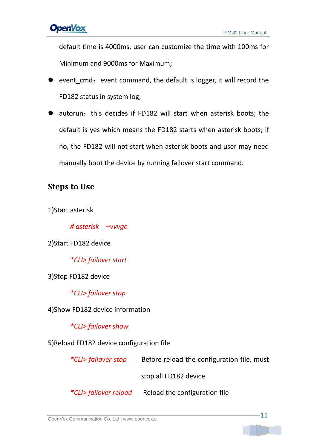default time is 4000ms, user can customize the time with 100ms for Minimum and 9000ms for Maximum;

- event cmd: event command, the default is logger, it will record the FD182 status in system log;
- autorun: this decides if FD182 will start when asterisk boots; the default is yes which means the FD182 starts when asterisk boots; if no, the FD182 will not start when asterisk boots and user may need manually boot the device by running failover start command.

### <span id="page-10-0"></span>**Steps to Use**

1)Start asterisk

*# asterisk –vvvgc*

2)Start FD182 device

*\*CLI> failover start*

3)Stop FD182 device

*\*CLI> failover stop*

4)Show FD182 device information

*\*CLI> failover show*

5)Reload FD182 device configuration file

 *\*CLI> failover stop* Before reload the configuration file, must stop all FD182 device *\*CLI> failover reload* Reload the configuration file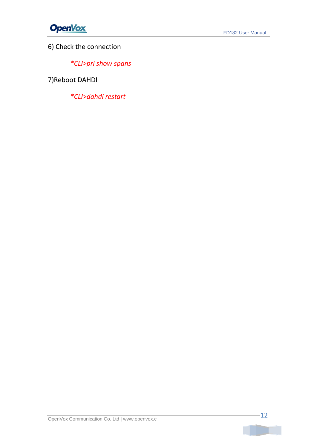

6) Check the connection

*\*CLI>pri show spans*

7)Reboot DAHDI

*\*CLI>dahdi restart*